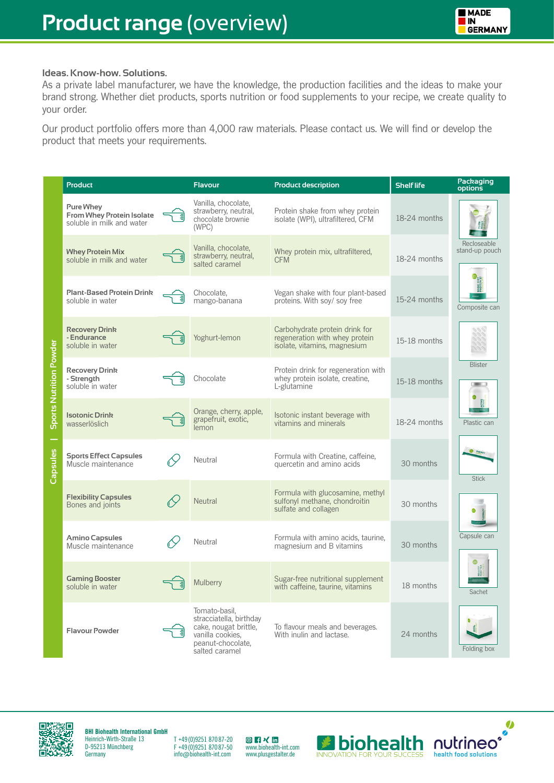## **Ideas. Know-how. Solutions.**

As a private label manufacturer, we have the knowledge, the production facilities and the ideas to make your brand strong. Whether diet products, sports nutrition or food supplements to your recipe, we create quality to your order.

Our product portfolio offers more than 4,000 raw materials. Please contact us. We will find or develop the product that meets your requirements.

|                                | <b>Product</b>                                                                    | <b>Flavour</b>                                                                                                               | <b>Product description</b>                                                                       | <b>Shelf life</b> | Packaging<br>options          |
|--------------------------------|-----------------------------------------------------------------------------------|------------------------------------------------------------------------------------------------------------------------------|--------------------------------------------------------------------------------------------------|-------------------|-------------------------------|
| <b>Sports Nutrition Powder</b> | <b>Pure Whey</b><br><b>From Whey Protein Isolate</b><br>soluble in milk and water | Vanilla, chocolate,<br>strawberry, neutral,<br>chocolate brownie<br>(WPC)                                                    | Protein shake from whey protein<br>isolate (WPI), ultrafiltered, CFM                             | 18-24 months      |                               |
|                                | <b>Whey Protein Mix</b><br>soluble in milk and water                              | Vanilla, chocolate,<br>strawberry, neutral,<br>salted caramel                                                                | Whey protein mix, ultrafiltered,<br><b>CFM</b>                                                   | 18-24 months      | Recloseable<br>stand-up pouch |
|                                | <b>Plant-Based Protein Drink</b><br>soluble in water                              | Chocolate,<br>mango-banana                                                                                                   | Vegan shake with four plant-based<br>proteins. With soy/soy free                                 | 15-24 months      | Composite can                 |
|                                | <b>Recovery Drink</b><br>- Endurance<br>soluble in water                          | Yoghurt-lemon                                                                                                                | Carbohydrate protein drink for<br>regeneration with whey protein<br>isolate, vitamins, magnesium | 15-18 months      |                               |
|                                | <b>Recovery Drink</b><br>- Strength<br>soluble in water                           | Chocolate                                                                                                                    | Protein drink for regeneration with<br>whey protein isolate, creatine,<br>L-glutamine            | 15-18 months      | <b>Blister</b>                |
|                                | <b>Isotonic Drink</b><br>wasserlöslich                                            | Orange, cherry, apple,<br>grapefruit, exotic,<br>lemon                                                                       | Isotonic instant beverage with<br>vitamins and minerals                                          | 18-24 months      | Plastic can                   |
| Capsules                       | <b>Sports Effect Capsules</b><br>Muscle maintenance                               | Neutral                                                                                                                      | Formula with Creatine, caffeine,<br>quercetin and amino acids                                    | 30 months         | <b>Stick</b>                  |
|                                | <b>Flexibility Capsules</b><br>Bones and joints                                   | <b>Neutral</b>                                                                                                               | Formula with glucosamine, methyl<br>sulfonyl methane, chondroitin<br>sulfate and collagen        | 30 months         |                               |
|                                | <b>Amino Capsules</b><br>Muscle maintenance                                       | Neutral                                                                                                                      | Formula with amino acids, taurine,<br>magnesium and B vitamins                                   | 30 months         | Capsule can<br>Sachet         |
|                                | <b>Gaming Booster</b><br>soluble in water                                         | Mulberry                                                                                                                     | Sugar-free nutritional supplement<br>with caffeine, taurine, vitamins                            | 18 months         |                               |
|                                | <b>Flavour Powder</b>                                                             | Tomato-basil,<br>stracciatella, birthday<br>cake, nougat brittle,<br>vanilla cookies.<br>peanut-chocolate,<br>salted caramel | To flavour meals and beverages.<br>With inulin and lactase.                                      | 24 months         | Folding box                   |



**BHI Biohealth International GmbH** Heinrich-Wirth-Straße 13 D-95213 Münchberg **Germany** 

T +49 (0)9251 870 87-20 F +49 (0)9251 870 87-50 info@biohealth-int.com **◎ F × in**<br>www.biohealth-int.com www.plusgestalter.de



 $\bullet$